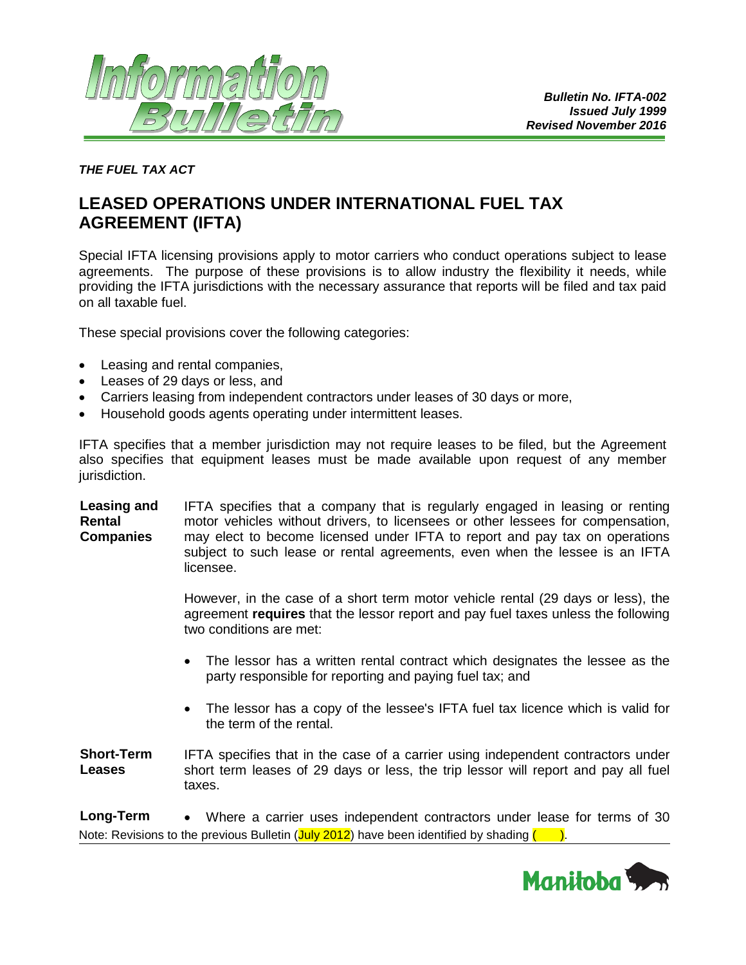

*THE FUEL TAX ACT*

# **LEASED OPERATIONS UNDER INTERNATIONAL FUEL TAX AGREEMENT (IFTA)**

Special IFTA licensing provisions apply to motor carriers who conduct operations subject to lease agreements. The purpose of these provisions is to allow industry the flexibility it needs, while providing the IFTA jurisdictions with the necessary assurance that reports will be filed and tax paid on all taxable fuel.

These special provisions cover the following categories:

- Leasing and rental companies,
- Leases of 29 days or less, and
- Carriers leasing from independent contractors under leases of 30 days or more,
- Household goods agents operating under intermittent leases.

IFTA specifies that a member jurisdiction may not require leases to be filed, but the Agreement also specifies that equipment leases must be made available upon request of any member jurisdiction.

**Leasing and Rental Companies** IFTA specifies that a company that is regularly engaged in leasing or renting motor vehicles without drivers, to licensees or other lessees for compensation, may elect to become licensed under IFTA to report and pay tax on operations subject to such lease or rental agreements, even when the lessee is an IFTA licensee.

> However, in the case of a short term motor vehicle rental (29 days or less), the agreement **requires** that the lessor report and pay fuel taxes unless the following two conditions are met:

- The lessor has a written rental contract which designates the lessee as the party responsible for reporting and paying fuel tax; and
- The lessor has a copy of the lessee's IFTA fuel tax licence which is valid for the term of the rental.

**Short-Term Leases** IFTA specifies that in the case of a carrier using independent contractors under short term leases of 29 days or less, the trip lessor will report and pay all fuel taxes.

Note: Revisions to the previous Bulletin  $(\text{July } 2012)$  have been identified by shading  $($ **Long-Term** • Where a carrier uses independent contractors under lease for terms of 30

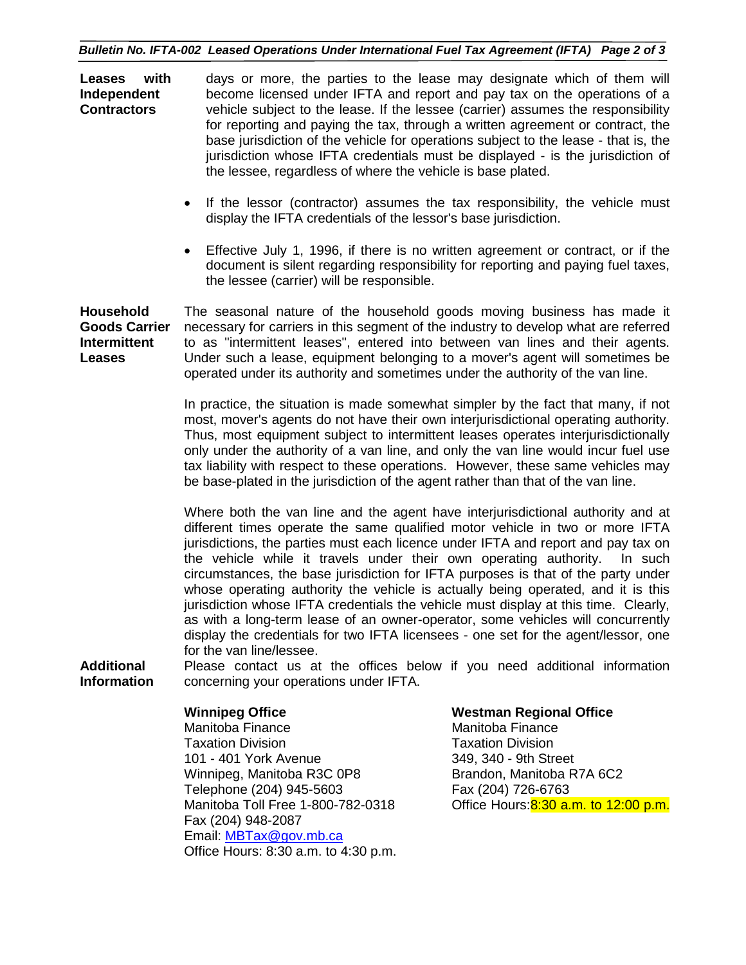### *Bulletin No. IFTA-002 Leased Operations Under International Fuel Tax Agreement (IFTA) Page 2 of 3*

**Leases with Independent Contractors** days or more, the parties to the lease may designate which of them will become licensed under IFTA and report and pay tax on the operations of a vehicle subject to the lease. If the lessee (carrier) assumes the responsibility for reporting and paying the tax, through a written agreement or contract, the base jurisdiction of the vehicle for operations subject to the lease - that is, the jurisdiction whose IFTA credentials must be displayed - is the jurisdiction of the lessee, regardless of where the vehicle is base plated.

- If the lessor (contractor) assumes the tax responsibility, the vehicle must display the IFTA credentials of the lessor's base jurisdiction.
- Effective July 1, 1996, if there is no written agreement or contract, or if the document is silent regarding responsibility for reporting and paying fuel taxes, the lessee (carrier) will be responsible.

**Household Goods Carrier Intermittent Leases** The seasonal nature of the household goods moving business has made it necessary for carriers in this segment of the industry to develop what are referred to as "intermittent leases", entered into between van lines and their agents. Under such a lease, equipment belonging to a mover's agent will sometimes be operated under its authority and sometimes under the authority of the van line.

> In practice, the situation is made somewhat simpler by the fact that many, if not most, mover's agents do not have their own interjurisdictional operating authority. Thus, most equipment subject to intermittent leases operates interjurisdictionally only under the authority of a van line, and only the van line would incur fuel use tax liability with respect to these operations. However, these same vehicles may be base-plated in the jurisdiction of the agent rather than that of the van line.

> Where both the van line and the agent have interjurisdictional authority and at different times operate the same qualified motor vehicle in two or more IFTA jurisdictions, the parties must each licence under IFTA and report and pay tax on the vehicle while it travels under their own operating authority. In such circumstances, the base jurisdiction for IFTA purposes is that of the party under whose operating authority the vehicle is actually being operated, and it is this jurisdiction whose IFTA credentials the vehicle must display at this time. Clearly, as with a long-term lease of an owner-operator, some vehicles will concurrently display the credentials for two IFTA licensees - one set for the agent/lessor, one for the van line/lessee.

**Additional Information** Please contact us at the offices below if you need additional information concerning your operations under IFTA.

Manitoba Finance **Manitoba Finance** Manitoba Finance Taxation Division Taxation Division 101 - 401 York Avenue 349, 340 - 9th Street Winnipeg, Manitoba R3C 0P8 Brandon, Manitoba R7A 6C2 Telephone (204) 945-5603 Fax (204) 726-6763 Fax (204) 948-2087 Email: [MBTax@gov.mb.ca](mailto:MBTax@gov.mb.ca) Office Hours: 8:30 a.m. to 4:30 p.m.

### **Winnipeg Office Westman Regional Office**

Manitoba Toll Free 1-800-782-0318 Office Hours:8:30 a.m. to 12:00 p.m.